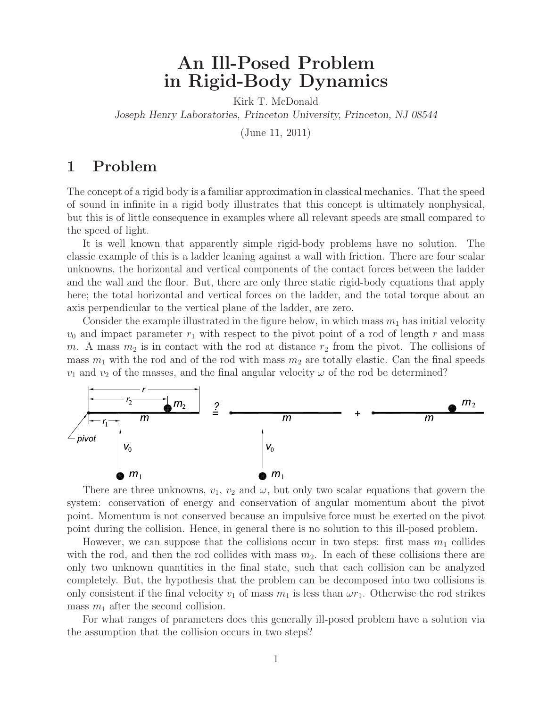# **An Ill-Posed Problem in Rigid-Body Dynamics**

Kirk T. McDonald *Joseph Henry Laboratories, Princeton University, Princeton, NJ 08544*

(June 11, 2011)

## **1 Problem**

The concept of a rigid body is a familiar approximation in classical mechanics. That the speed of sound in infinite in a rigid body illustrates that this concept is ultimately nonphysical, but this is of little consequence in examples where all relevant speeds are small compared to the speed of light.

It is well known that apparently simple rigid-body problems have no solution. The classic example of this is a ladder leaning against a wall with friction. There are four scalar unknowns, the horizontal and vertical components of the contact forces between the ladder and the wall and the floor. But, there are only three static rigid-body equations that apply here; the total horizontal and vertical forces on the ladder, and the total torque about an axis perpendicular to the vertical plane of the ladder, are zero.

Consider the example illustrated in the figure below, in which mass  $m_1$  has initial velocity  $v_0$  and impact parameter  $r_1$  with respect to the pivot point of a rod of length r and mass m. A mass  $m_2$  is in contact with the rod at distance  $r_2$  from the pivot. The collisions of mass  $m_1$  with the rod and of the rod with mass  $m_2$  are totally elastic. Can the final speeds  $v_1$  and  $v_2$  of the masses, and the final angular velocity  $\omega$  of the rod be determined?



There are three unknowns,  $v_1, v_2$  and  $\omega$ , but only two scalar equations that govern the system: conservation of energy and conservation of angular momentum about the pivot point. Momentum is not conserved because an impulsive force must be exerted on the pivot point during the collision. Hence, in general there is no solution to this ill-posed problem.

However, we can suppose that the collisions occur in two steps: first mass  $m_1$  collides with the rod, and then the rod collides with mass  $m_2$ . In each of these collisions there are only two unknown quantities in the final state, such that each collision can be analyzed completely. But, the hypothesis that the problem can be decomposed into two collisions is only consistent if the final velocity  $v_1$  of mass  $m_1$  is less than  $\omega r_1$ . Otherwise the rod strikes mass  $m_1$  after the second collision.

For what ranges of parameters does this generally ill-posed problem have a solution via the assumption that the collision occurs in two steps?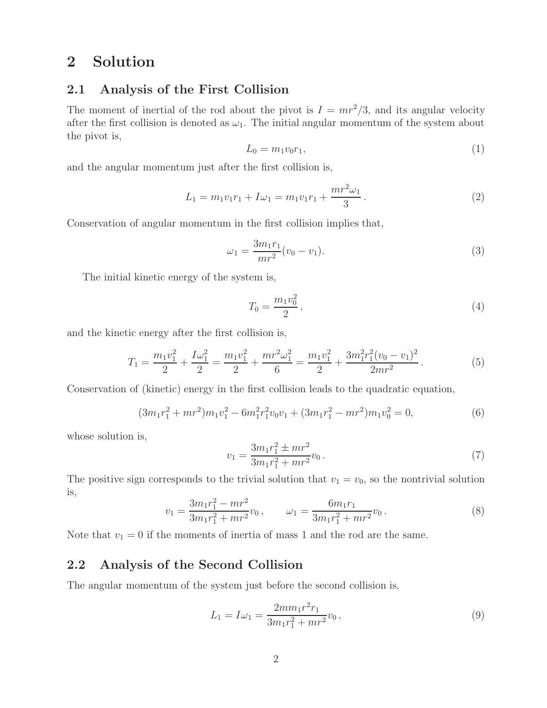# **2 Solution**

#### **2.1 Analysis of the First Collision**

The moment of inertial of the rod about the pivot is  $I = mr^2/3$ , and its angular velocity after the first collision is denoted as  $\omega_1$ . The initial angular momentum of the system about the pivot is,

$$
L_0 = m_1 v_0 r_1,\t\t(1)
$$

and the angular momentum just after the first collision is,

$$
L_1 = m_1 v_1 r_1 + I\omega_1 = m_1 v_1 r_1 + \frac{m r^2 \omega_1}{3}.
$$
\n(2)

Conservation of angular momentum in the first collision implies that,

$$
\omega_1 = \frac{3m_1r_1}{mr^2}(v_0 - v_1). \tag{3}
$$

The initial kinetic energy of the system is,

$$
T_0 = \frac{m_1 v_0^2}{2},\tag{4}
$$

and the kinetic energy after the first collision is,

$$
T_1 = \frac{m_1 v_1^2}{2} + \frac{I \omega_1^2}{2} = \frac{m_1 v_1^2}{2} + \frac{m r^2 \omega_1^2}{6} = \frac{m_1 v_1^2}{2} + \frac{3m_1^2 r_1^2 (v_0 - v_1)^2}{2m r^2}.
$$
 (5)

Conservation of (kinetic) energy in the first collision leads to the quadratic equation,

$$
(3m_1r_1^2 + mr^2)m_1v_1^2 - 6m_1^2r_1^2v_0v_1 + (3m_1r_1^2 - mr^2)m_1v_0^2 = 0,
$$
\n(6)

whose solution is,

$$
v_1 = \frac{3m_1r_1^2 \pm mr^2}{3m_1r_1^2 + mr^2} v_0 \,. \tag{7}
$$

The positive sign corresponds to the trivial solution that  $v_1 = v_0$ , so the nontrivial solution is,

$$
v_1 = \frac{3m_1r_1^2 - mr^2}{3m_1r_1^2 + mr^2} v_0, \qquad \omega_1 = \frac{6m_1r_1}{3m_1r_1^2 + mr^2} v_0.
$$
 (8)

Note that  $v_1 = 0$  if the moments of inertia of mass 1 and the rod are the same.

#### **2.2 Analysis of the Second Collision**

The angular momentum of the system just before the second collision is,

$$
L_1 = I\omega_1 = \frac{2m m_1 r^2 r_1}{3m_1 r_1^2 + m r^2} v_0,
$$
\n(9)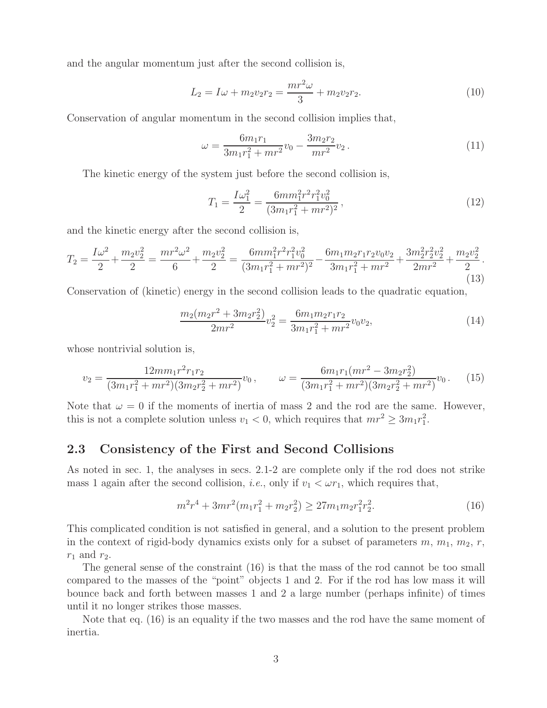and the angular momentum just after the second collision is,

$$
L_2 = I\omega + m_2v_2r_2 = \frac{mr^2\omega}{3} + m_2v_2r_2.
$$
 (10)

Conservation of angular momentum in the second collision implies that,

$$
\omega = \frac{6m_1r_1}{3m_1r_1^2 + mr^2}v_0 - \frac{3m_2r_2}{mr^2}v_2.
$$
\n(11)

The kinetic energy of the system just before the second collision is,

$$
T_1 = \frac{I\omega_1^2}{2} = \frac{6mm_1^2r^2r_1^2v_0^2}{(3m_1r_1^2 + mr^2)^2},\tag{12}
$$

and the kinetic energy after the second collision is,

$$
T_2 = \frac{I\omega^2}{2} + \frac{m_2v_2^2}{2} = \frac{mr^2\omega^2}{6} + \frac{m_2v_2^2}{2} = \frac{6mm_1^2r^2r_1^2v_0^2}{(3m_1r_1^2 + mr^2)^2} - \frac{6m_1m_2r_1r_2v_0v_2}{3m_1r_1^2 + mr^2} + \frac{3m_2^2r_2^2v_2^2}{2mr^2} + \frac{m_2v_2^2}{2}.
$$
\n(13)

Conservation of (kinetic) energy in the second collision leads to the quadratic equation,

$$
\frac{m_2(m_2r^2 + 3m_2r_2^2)}{2mr^2}v_2^2 = \frac{6m_1m_2r_1r_2}{3m_1r_1^2 + mr^2}v_0v_2,
$$
\n(14)

whose nontrivial solution is,

$$
v_2 = \frac{12m m_1 r^2 r_1 r_2}{(3m_1 r_1^2 + m r^2)(3m_2 r_2^2 + m r^2)} v_0, \qquad \omega = \frac{6m_1 r_1 (mr^2 - 3m_2 r_2^2)}{(3m_1 r_1^2 + m r^2)(3m_2 r_2^2 + m r^2)} v_0.
$$
 (15)

Note that  $\omega = 0$  if the moments of inertia of mass 2 and the rod are the same. However, this is not a complete solution unless  $v_1 < 0$ , which requires that  $mr^2 \geq 3m_1r_1^2$ .

#### **2.3 Consistency of the First and Second Collisions**

As noted in sec. 1, the analyses in secs. 2.1-2 are complete only if the rod does not strike mass 1 again after the second collision, *i.e.*, only if  $v_1 < \omega r_1$ , which requires that,

$$
m^{2}r^{4} + 3mr^{2}(m_{1}r_{1}^{2} + m_{2}r_{2}^{2}) \ge 27m_{1}m_{2}r_{1}^{2}r_{2}^{2}.
$$
\n(16)

This complicated condition is not satisfied in general, and a solution to the present problem in the context of rigid-body dynamics exists only for a subset of parameters  $m, m_1, m_2, r$ ,  $r_1$  and  $r_2$ .

The general sense of the constraint (16) is that the mass of the rod cannot be too small compared to the masses of the "point" objects 1 and 2. For if the rod has low mass it will bounce back and forth between masses 1 and 2 a large number (perhaps infinite) of times until it no longer strikes those masses.

Note that eq. (16) is an equality if the two masses and the rod have the same moment of inertia.